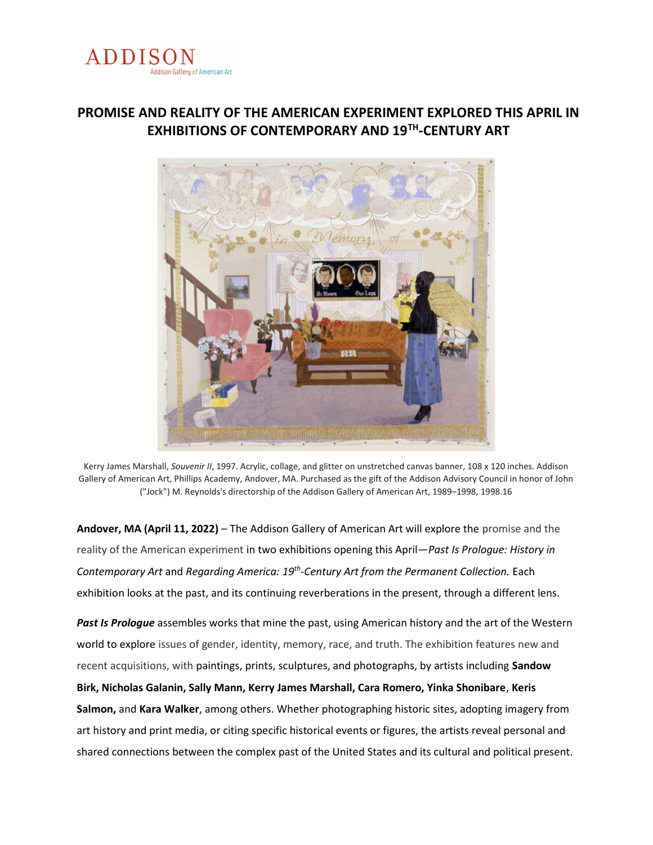

# PROMISE AND REALITY OF THE AMERICAN EXPERIMENT EXPLORED THIS APRIL IN EXHIBITIONS OF CONTEMPORARY AND 19TH-CENTURY ART



Kerry James Marshall, Souvenir II, 1997. Acrylic, collage, and glitter on unstretched canvas banner, 108 x 120 inches. Addison Gallery of American Art, Phillips Academy, Andover, MA. Purchased as the gift of the Addison Advisory Council in honor of John ("Jock") M. Reynolds's directorship of the Addison Gallery of American Art, 1989–1998, 1998.16

Andover, MA (April 11, 2022) – The Addison Gallery of American Art will explore the promise and the reality of the American experiment in two exhibitions opening this April-Past Is Prologue: History in Contemporary Art and Regarding America: 19<sup>th</sup>-Century Art from the Permanent Collection. Each exhibition looks at the past, and its continuing reverberations in the present, through a different lens.

Past Is Prologue assembles works that mine the past, using American history and the art of the Western world to explore issues of gender, identity, memory, race, and truth. The exhibition features new and recent acquisitions, with paintings, prints, sculptures, and photographs, by artists including Sandow Birk, Nicholas Galanin, Sally Mann, Kerry James Marshall, Cara Romero, Yinka Shonibare, Keris Salmon, and Kara Walker, among others. Whether photographing historic sites, adopting imagery from art history and print media, or citing specific historical events or figures, the artists reveal personal and shared connections between the complex past of the United States and its cultural and political present.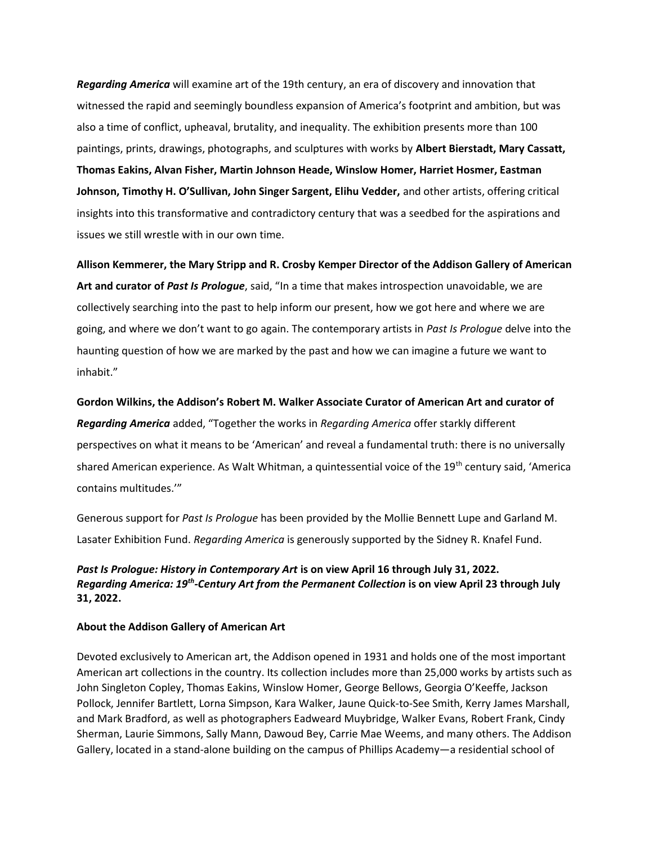Regarding America will examine art of the 19th century, an era of discovery and innovation that witnessed the rapid and seemingly boundless expansion of America's footprint and ambition, but was also a time of conflict, upheaval, brutality, and inequality. The exhibition presents more than 100 paintings, prints, drawings, photographs, and sculptures with works by Albert Bierstadt, Mary Cassatt, Thomas Eakins, Alvan Fisher, Martin Johnson Heade, Winslow Homer, Harriet Hosmer, Eastman Johnson, Timothy H. O'Sullivan, John Singer Sargent, Elihu Vedder, and other artists, offering critical insights into this transformative and contradictory century that was a seedbed for the aspirations and issues we still wrestle with in our own time.

Allison Kemmerer, the Mary Stripp and R. Crosby Kemper Director of the Addison Gallery of American Art and curator of Past Is Prologue, said, "In a time that makes introspection unavoidable, we are collectively searching into the past to help inform our present, how we got here and where we are going, and where we don't want to go again. The contemporary artists in Past Is Prologue delve into the haunting question of how we are marked by the past and how we can imagine a future we want to inhabit."

# Gordon Wilkins, the Addison's Robert M. Walker Associate Curator of American Art and curator of Regarding America added, "Together the works in Regarding America offer starkly different perspectives on what it means to be 'American' and reveal a fundamental truth: there is no universally shared American experience. As Walt Whitman, a quintessential voice of the 19<sup>th</sup> century said, 'America' contains multitudes.'"

Generous support for Past Is Prologue has been provided by the Mollie Bennett Lupe and Garland M. Lasater Exhibition Fund. Regarding America is generously supported by the Sidney R. Knafel Fund.

## Past Is Prologue: History in Contemporary Art is on view April 16 through July 31, 2022. Regarding America: 19<sup>th</sup>-Century Art from the Permanent Collection is on view April 23 through July 31, 2022.

#### About the Addison Gallery of American Art

Devoted exclusively to American art, the Addison opened in 1931 and holds one of the most important American art collections in the country. Its collection includes more than 25,000 works by artists such as John Singleton Copley, Thomas Eakins, Winslow Homer, George Bellows, Georgia O'Keeffe, Jackson Pollock, Jennifer Bartlett, Lorna Simpson, Kara Walker, Jaune Quick-to-See Smith, Kerry James Marshall, and Mark Bradford, as well as photographers Eadweard Muybridge, Walker Evans, Robert Frank, Cindy Sherman, Laurie Simmons, Sally Mann, Dawoud Bey, Carrie Mae Weems, and many others. The Addison Gallery, located in a stand-alone building on the campus of Phillips Academy—a residential school of